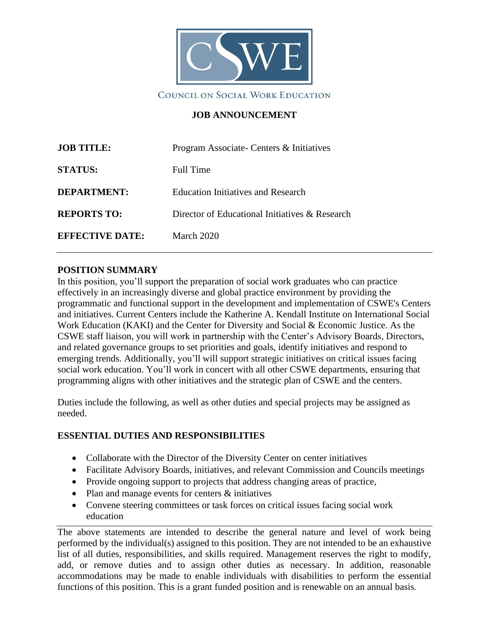

### **JOB ANNOUNCEMENT**

| <b>JOB TITLE:</b>      | Program Associate- Centers & Initiatives       |
|------------------------|------------------------------------------------|
| <b>STATUS:</b>         | Full Time                                      |
| <b>DEPARTMENT:</b>     | <b>Education Initiatives and Research</b>      |
| <b>REPORTS TO:</b>     | Director of Educational Initiatives & Research |
| <b>EFFECTIVE DATE:</b> | <b>March 2020</b>                              |

### **POSITION SUMMARY**

In this position, you'll support the preparation of social work graduates who can practice effectively in an increasingly diverse and global practice environment by providing the programmatic and functional support in the development and implementation of CSWE's Centers and initiatives. Current Centers include the Katherine A. Kendall Institute on International Social Work Education (KAKI) and the Center for Diversity and Social & Economic Justice. As the CSWE staff liaison, you will work in partnership with the Center's Advisory Boards, Directors, and related governance groups to set priorities and goals, identify initiatives and respond to emerging trends. Additionally, you'll will support strategic initiatives on critical issues facing social work education. You'll work in concert with all other CSWE departments, ensuring that programming aligns with other initiatives and the strategic plan of CSWE and the centers.

Duties include the following, as well as other duties and special projects may be assigned as needed.

### **ESSENTIAL DUTIES AND RESPONSIBILITIES**

- Collaborate with the Director of the Diversity Center on center initiatives
- Facilitate Advisory Boards, initiatives, and relevant Commission and Councils meetings
- Provide ongoing support to projects that address changing areas of practice,
- Plan and manage events for centers & initiatives
- Convene steering committees or task forces on critical issues facing social work education

The above statements are intended to describe the general nature and level of work being performed by the individual(s) assigned to this position. They are not intended to be an exhaustive list of all duties, responsibilities, and skills required. Management reserves the right to modify, add, or remove duties and to assign other duties as necessary. In addition, reasonable accommodations may be made to enable individuals with disabilities to perform the essential functions of this position. This is a grant funded position and is renewable on an annual basis.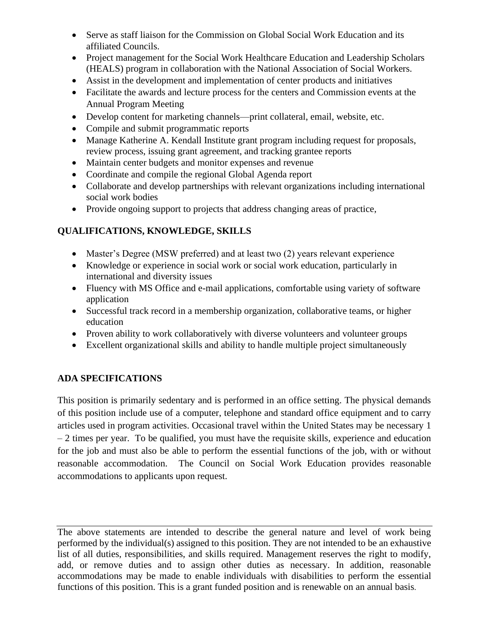- Serve as staff liaison for the Commission on Global Social Work Education and its affiliated Councils.
- Project management for the Social Work Healthcare Education and Leadership Scholars (HEALS) program in collaboration with the National Association of Social Workers.
- Assist in the development and implementation of center products and initiatives
- Facilitate the awards and lecture process for the centers and Commission events at the Annual Program Meeting
- Develop content for marketing channels—print collateral, email, website, etc.
- Compile and submit programmatic reports
- Manage Katherine A. Kendall Institute grant program including request for proposals, review process, issuing grant agreement, and tracking grantee reports
- Maintain center budgets and monitor expenses and revenue
- Coordinate and compile the regional Global Agenda report
- Collaborate and develop partnerships with relevant organizations including international social work bodies
- Provide ongoing support to projects that address changing areas of practice,

# **QUALIFICATIONS, KNOWLEDGE, SKILLS**

- Master's Degree (MSW preferred) and at least two (2) years relevant experience
- Knowledge or experience in social work or social work education, particularly in international and diversity issues
- Fluency with MS Office and e-mail applications, comfortable using variety of software application
- Successful track record in a membership organization, collaborative teams, or higher education
- Proven ability to work collaboratively with diverse volunteers and volunteer groups
- Excellent organizational skills and ability to handle multiple project simultaneously

## **ADA SPECIFICATIONS**

This position is primarily sedentary and is performed in an office setting. The physical demands of this position include use of a computer, telephone and standard office equipment and to carry articles used in program activities. Occasional travel within the United States may be necessary 1 – 2 times per year. To be qualified, you must have the requisite skills, experience and education for the job and must also be able to perform the essential functions of the job, with or without reasonable accommodation. The Council on Social Work Education provides reasonable accommodations to applicants upon request.

The above statements are intended to describe the general nature and level of work being performed by the individual(s) assigned to this position. They are not intended to be an exhaustive list of all duties, responsibilities, and skills required. Management reserves the right to modify, add, or remove duties and to assign other duties as necessary. In addition, reasonable accommodations may be made to enable individuals with disabilities to perform the essential functions of this position. This is a grant funded position and is renewable on an annual basis.